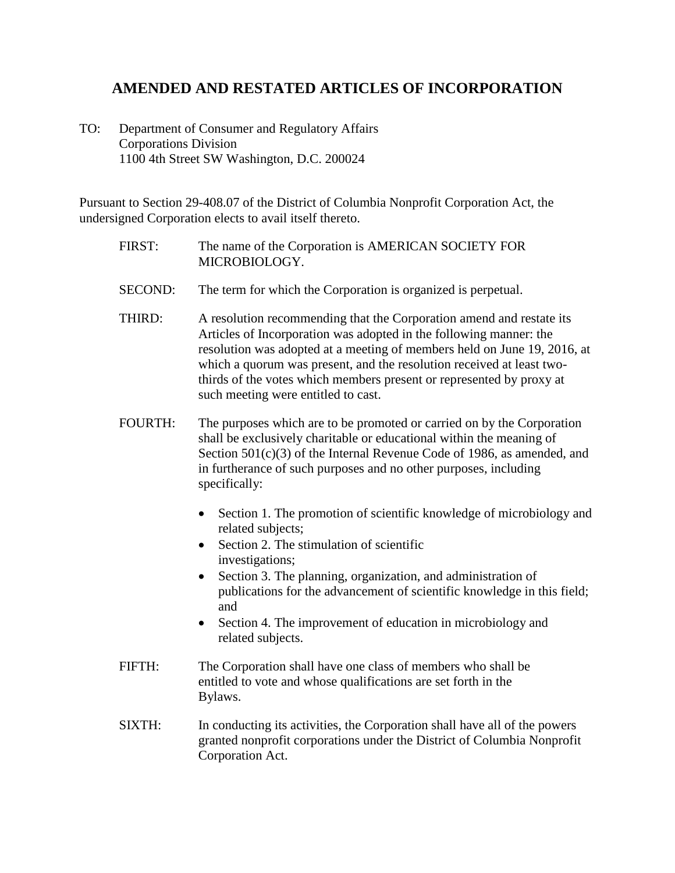## **AMENDED AND RESTATED ARTICLES OF INCORPORATION**

TO: Department of Consumer and Regulatory Affairs Corporations Division 1100 4th Street SW Washington, D.C. 200024

Pursuant to Section 29-408.07 of the District of Columbia Nonprofit Corporation Act, the undersigned Corporation elects to avail itself thereto.

- FIRST: The name of the Corporation is AMERICAN SOCIETY FOR MICROBIOLOGY.
- SECOND: The term for which the Corporation is organized is perpetual.
- THIRD: A resolution recommending that the Corporation amend and restate its Articles of Incorporation was adopted in the following manner: the resolution was adopted at a meeting of members held on June 19, 2016, at which a quorum was present, and the resolution received at least twothirds of the votes which members present or represented by proxy at such meeting were entitled to cast.
- FOURTH: The purposes which are to be promoted or carried on by the Corporation shall be exclusively charitable or educational within the meaning of Section 501(c)(3) of the Internal Revenue Code of 1986, as amended, and in furtherance of such purposes and no other purposes, including specifically:
	- Section 1. The promotion of scientific knowledge of microbiology and related subjects;
	- Section 2. The stimulation of scientific investigations;
	- Section 3. The planning, organization, and administration of publications for the advancement of scientific knowledge in this field; and
	- Section 4. The improvement of education in microbiology and related subjects.
- FIFTH: The Corporation shall have one class of members who shall be entitled to vote and whose qualifications are set forth in the Bylaws.
- SIXTH: In conducting its activities, the Corporation shall have all of the powers granted nonprofit corporations under the District of Columbia Nonprofit Corporation Act.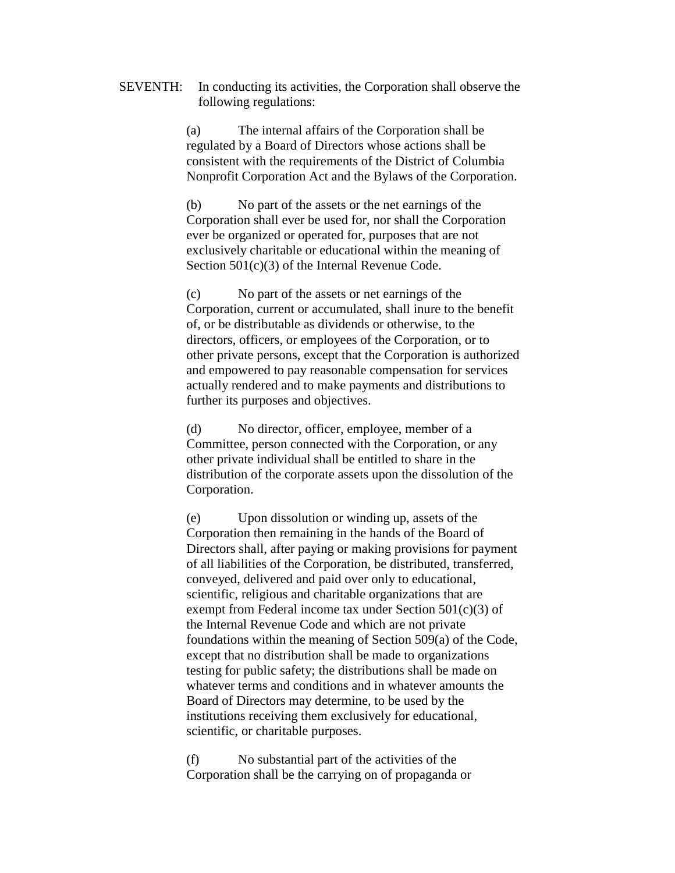SEVENTH: In conducting its activities, the Corporation shall observe the following regulations:

> (a) The internal affairs of the Corporation shall be regulated by a Board of Directors whose actions shall be consistent with the requirements of the District of Columbia Nonprofit Corporation Act and the Bylaws of the Corporation.

(b) No part of the assets or the net earnings of the Corporation shall ever be used for, nor shall the Corporation ever be organized or operated for, purposes that are not exclusively charitable or educational within the meaning of Section 501(c)(3) of the Internal Revenue Code.

(c) No part of the assets or net earnings of the Corporation, current or accumulated, shall inure to the benefit of, or be distributable as dividends or otherwise, to the directors, officers, or employees of the Corporation, or to other private persons, except that the Corporation is authorized and empowered to pay reasonable compensation for services actually rendered and to make payments and distributions to further its purposes and objectives.

(d) No director, officer, employee, member of a Committee, person connected with the Corporation, or any other private individual shall be entitled to share in the distribution of the corporate assets upon the dissolution of the Corporation.

(e) Upon dissolution or winding up, assets of the Corporation then remaining in the hands of the Board of Directors shall, after paying or making provisions for payment of all liabilities of the Corporation, be distributed, transferred, conveyed, delivered and paid over only to educational, scientific, religious and charitable organizations that are exempt from Federal income tax under Section  $501(c)(3)$  of the Internal Revenue Code and which are not private foundations within the meaning of Section 509(a) of the Code, except that no distribution shall be made to organizations testing for public safety; the distributions shall be made on whatever terms and conditions and in whatever amounts the Board of Directors may determine, to be used by the institutions receiving them exclusively for educational, scientific, or charitable purposes.

(f) No substantial part of the activities of the Corporation shall be the carrying on of propaganda or